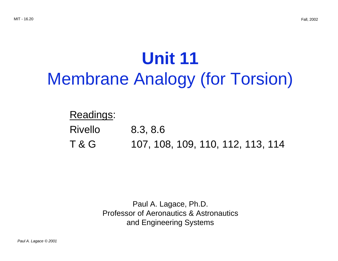# **Unit 11** Membrane Analogy (for Torsion)

## Readings:

- Rivello 8.3, 8.6
- T & G 107, 108, 109, 110, 112, 113, 114

Paul A. Lagace, Ph.D. Professor of Aeronautics & Astronautics and Engineering Systems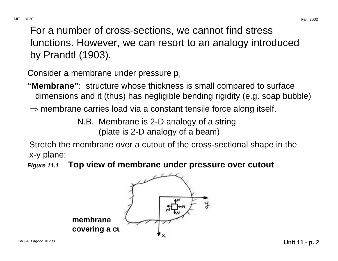For a number of cross-sections, we cannot find stress functions. However, we can resort to an analogy introduced by Prandtl (1903).

Consider a membrane under pressure p.

**"Membrane"**: structure whose thickness is small compared to surface dimensions and it (thus) has negligible bending rigidity (e.g. soap bubble)

 $\Rightarrow$  membrane carries load via a constant tensile force along itself.

N.B. Membrane is 2-D analogy of a string (plate is 2-D analogy of a beam)

Stretch the membrane over a cutout of the cross-sectional shape in the x-y plane:

**Figure 11.1 Top view of membrane under pressure over cutout**

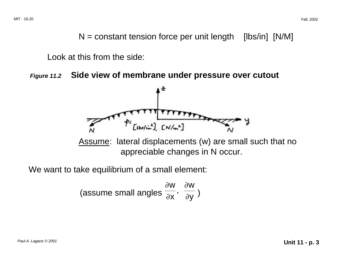$N =$  constant tension force per unit length [lbs/in] [N/M]

Look at this from the side:

**Figure 11.2 Side view of membrane under pressure over cutout** 



We want to take equilibrium of a small element:

(assume small angles 
$$
\frac{\partial w}{\partial x}
$$
,  $\frac{\partial w}{\partial y}$ )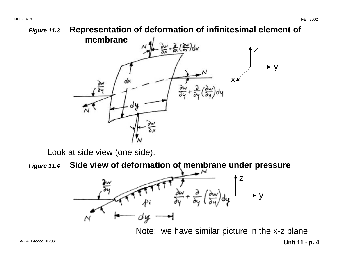

Look at side view (one side):

**Figure 11.4 Side view of deformation of membrane under pressure** 



Note: we have similar picture in the x-z plane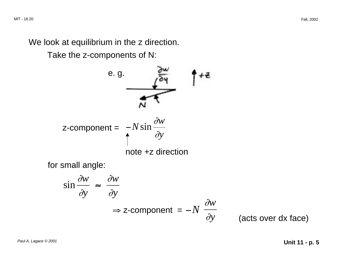We look at equilibrium in the z direction.

Take the z-components of N:

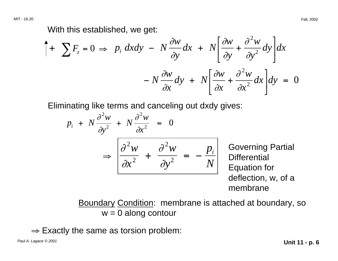MIT - 16.20 Fall, 2002

With this established, we get:

$$
\int + \sum F_z = 0 \implies p_i \, dxdy - N \frac{\partial w}{\partial y} dx + N \left[ \frac{\partial w}{\partial y} + \frac{\partial^2 w}{\partial y^2} dy \right] dx
$$

$$
- N \frac{\partial w}{\partial x} dy + N \left[ \frac{\partial w}{\partial x} + \frac{\partial^2 w}{\partial x^2} dx \right] dy = 0
$$

Eliminating like terms and canceling out dxdy gives:

$$
p_i + N \frac{\partial^2 w}{\partial y^2} + N \frac{\partial^2 w}{\partial x^2} = 0
$$
  
\n
$$
\Rightarrow \left[ \frac{\partial^2 w}{\partial x^2} + \frac{\partial^2 w}{\partial y^2} = -\frac{p_i}{N} \right]
$$
 Gover  
\nDifferent

ning Partial *<sup>i</sup>*<sup>+</sup> <sup>=</sup> <sup>−</sup> Differential ion for deflection, w, of a membrane

Boundary Condition: membrane is attached at boundary, so  $w = 0$  along contour

 $\Rightarrow$  Exactly the same as torsion problem: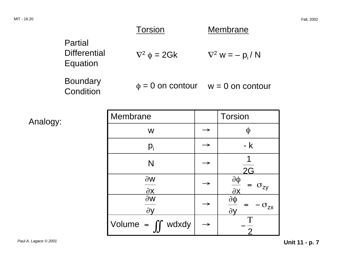|                                            | <b>Torsion</b>        | Membrane                                 |
|--------------------------------------------|-----------------------|------------------------------------------|
| Partial<br><b>Differential</b><br>Equation | $\nabla^2 \phi = 2Gk$ | $\nabla^2$ w = - p <sub>i</sub> /N       |
| <b>Boundary</b><br>Condition               |                       | $\phi = 0$ on contour $w = 0$ on contour |

Analogy:

| <b>Membrane</b>                                 | <b>Torsion</b>                                         |
|-------------------------------------------------|--------------------------------------------------------|
| W                                               |                                                        |
| $p_i$                                           | - k                                                    |
| N                                               | 2G                                                     |
| $\partial$ W<br>$\frac{\partial X}{\partial x}$ | $\frac{\partial \varphi}{\partial x}$<br>$\sigma_{zy}$ |
| $\partial W$<br>$\partial V$                    | $\partial \varphi$<br>$-\sigma_{zx}$<br>$\partial V$   |
| Volume = $\int \int w dx dy$                    | T                                                      |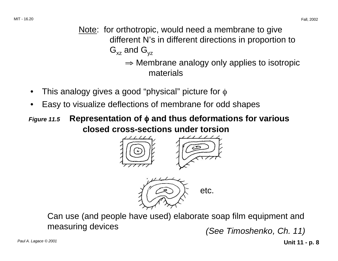- Note: for orthotropic, would need a membrane to give different N's in different directions in proportion to  $G_{xz}$  and  $G_{yz}$ <sup>⇒</sup> Membrane analogy only applies to isotropic materials
- This analogy gives a good "physical" picture for  $\phi$
- Easy to visualize deflections of membrane for odd shapes
- φ **Figure 11.5 Representation of** φ **and thus deformations for various closed cross-sections under torsion**





Can use (and people have used) elaborate soap film equipment and measuring devices (See Timoshenko, Ch. 11)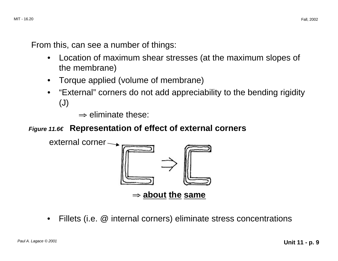From this, can see a number of things:

- Location of maximum shear stresses (at the maximum slopes of the membrane)
- Torque applied (volume of membrane)
- "External" corners do not add appreciability to the bending rigidity (J)
	- $\Rightarrow$  eliminate these:

### **Figure 11.6� Representation of effect of external corners**



• Fillets (i.e. @ internal corners) eliminate stress concentrations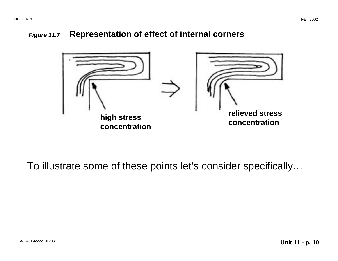#### **Figure 11.7 Representation of effect of internal corners**



To illustrate some of these points let's consider specifically…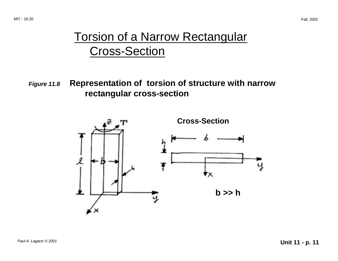# **Torsion of a Narrow Rectangular** Cross-Section

**Figure 11.8 Representation of torsion of structure with narrow rectangular cross-section** 

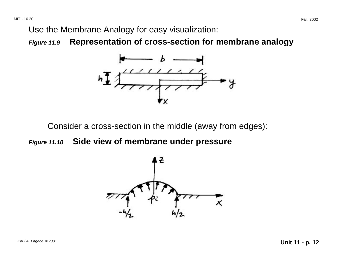Use the Membrane Analogy for easy visualization:

**Figure 11.9 Representation of cross-section for membrane analogy**



Consider a cross-section in the middle (away from edges):

**Figure 11.10 Side view of membrane under pressure** 

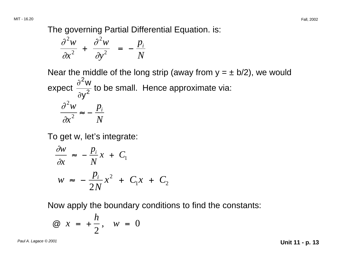MIT - 16.20 Fall, 2002

The governing Partial Differential Equation. is:

$$
\frac{\partial^2 w}{\partial x^2} + \frac{\partial^2 w}{\partial y^2} = -\frac{p_i}{N}
$$

Near the middle of the long strip (away from  $y = \pm b/2$ ), we would expect  $\frac{\partial^2 w}{\partial y^2}$  to be small. Hence approximate via:  $\partial^2w$ ≈ <sup>−</sup>  $p_{\scriptscriptstyle i}$  $\partial x^2$  *N* 

To get w, let's integrate:

$$
\frac{\partial w}{\partial x} \approx -\frac{p_i}{N}x + C_1
$$
  

$$
w \approx -\frac{p_i}{2N}x^2 + C_1x + C_2
$$

Now apply the boundary conditions to find the constants:

$$
\textcircled{a} \quad x = +\frac{h}{2}, \quad w = 0
$$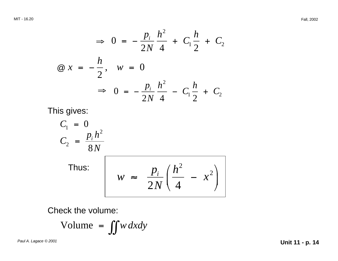$\Rightarrow$  0 =  $-\frac{p_i}{2N}\frac{h^2}{4}+C_1\frac{h}{2}+C_2$  $\omega x = -\frac{h}{2}, w = 0$ ⇒ 0 =  $-\frac{p_i}{2N}\frac{h^2}{4}-C_1\frac{h}{2}+C_2$ 

This gives:

$$
C_1 = 0
$$
  
\n
$$
C_2 = \frac{p_i h^2}{8N}
$$
  
\nThus:  
\n
$$
w \approx \frac{p_i}{2N} \left( \frac{h^2}{4} - x^2 \right)
$$

Check the volume:

Volume = 
$$
\iint w \, dxdy
$$

Paul A. Lagace © 2001 **Unit 11 - p. 14**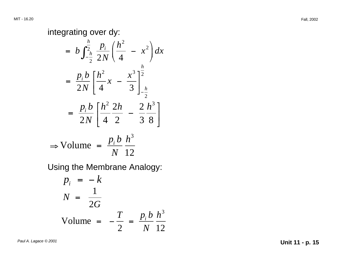### integrating over dy:

$$
= b \int_{-\frac{b}{2}}^{\frac{h}{2}} \frac{p_i}{2N} \left( \frac{h^2}{4} - x^2 \right) dx
$$
  

$$
= \frac{p_i b}{2N} \left[ \frac{h^2}{4} x - \frac{x^3}{3} \right]_{-\frac{h}{2}}^{\frac{h}{2}}
$$
  

$$
= \frac{p_i b}{2N} \left[ \frac{h^2}{4} \frac{2h}{2} - \frac{2 h^3}{3 \ 8} \right]
$$
  

$$
\Rightarrow \text{Volume} = \frac{p_i b}{N} \frac{h^3}{12}
$$

Using the Membrane Analogy:

$$
p_i = -k
$$
  

$$
N = \frac{1}{2G}
$$
  
Volume = 
$$
-\frac{T}{2} = \frac{p_i b}{N} \frac{h^3}{12}
$$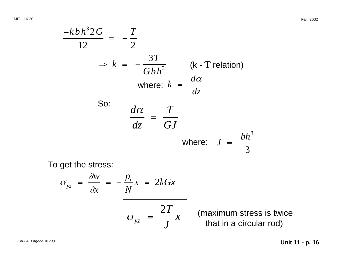MIT - 16.20 Fall, 2002

$$
\frac{-kbh^3 2G}{12} = -\frac{T}{2}
$$
\n
$$
\Rightarrow k = -\frac{3T}{Gbh^3} \qquad (k \text{ - T relation})
$$
\nwhere:  $k = \frac{d\alpha}{dz}$   
\nSo:  $\frac{d\alpha}{dz} = \frac{T}{GJ}$   
\nwhere:  $J = \frac{bh^3}{3}$ 

To get the stress:

$$
\sigma_{yz} = \frac{\partial w}{\partial x} = -\frac{p_i}{N}x = 2kGx
$$
\n
$$
\sigma_{yz} = \frac{2T}{J}x
$$

(maximum stress is twice that in a circular rod)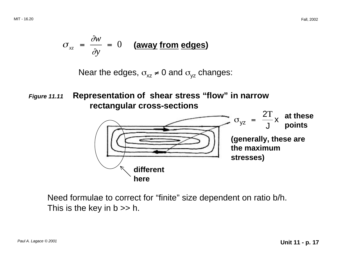$$
\sigma_{xz} = \frac{\partial w}{\partial y} = 0
$$
 (away from edges)

Near the edges,  $\sigma_{xz} \neq 0$  and  $\sigma_{yz}$  changes:

**Figure 11.11 Representation of shear stress "flow" in narrow rectangular cross-sections** 



Need formulae to correct for "finite" size dependent on ratio b/h. This is the key in  $b \gg h$ .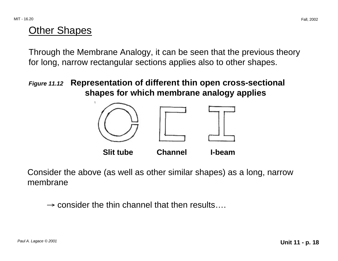### Other Shapes

Through the Membrane Analogy, it can be seen that the previous theory for long, narrow rectangular sections applies also to other shapes.

**Figure 11.12 Representation of different thin open cross-sectional shapes for which membrane analogy applies** 



Consider the above (as well as other similar shapes) as a long, narrow membrane

 $\rightarrow$  consider the thin channel that then results...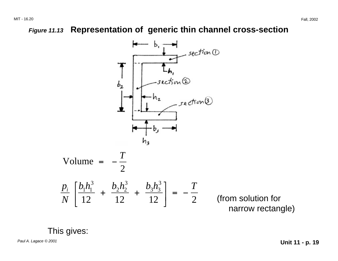### **Figure 11.13 Representation of generic thin channel cross-section**



Paul A. Lagace © 2001 **Unit 11 - p. 19**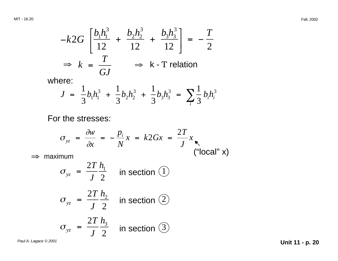$$
-k2G\left[\frac{b_1h_1^3}{12} + \frac{b_2h_2^3}{12} + \frac{b_3h_3^3}{12}\right] = -\frac{T}{2}
$$
  
\n
$$
\Rightarrow k = \frac{T}{GJ} \Rightarrow k \text{ - T relation}
$$

where:

$$
J = \frac{1}{3}b_1h_1^3 + \frac{1}{3}b_2h_2^3 + \frac{1}{3}b_3h_3^3 = \sum_i \frac{1}{3}b_ih_i^3
$$

For the stresses:

$$
\sigma_{yz} = \frac{\partial w}{\partial x} = -\frac{p_i}{N}x = k2Gx = \frac{2T}{J}x
$$
  
||local" x

 $\Rightarrow$  maximum

$$
\sigma_{yz} = \frac{2T h_1}{J 2}
$$
 in section (1)  

$$
\sigma_{yz} = \frac{2T h_2}{J 2}
$$
 in section (2)  

$$
\sigma_{yz} = \frac{2T h_3}{J 2}
$$
 in section (3)

Paul A. Lagace © 2001 **Unit 11 - p. 20**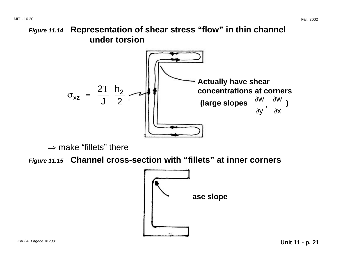### **Figure 11.14 Representation of shear stress "flow" in thin channel under torsion**



 $\Rightarrow$  make "fillets" there

**Figure 11.15 Channel cross-section with "fillets" at inner corners**